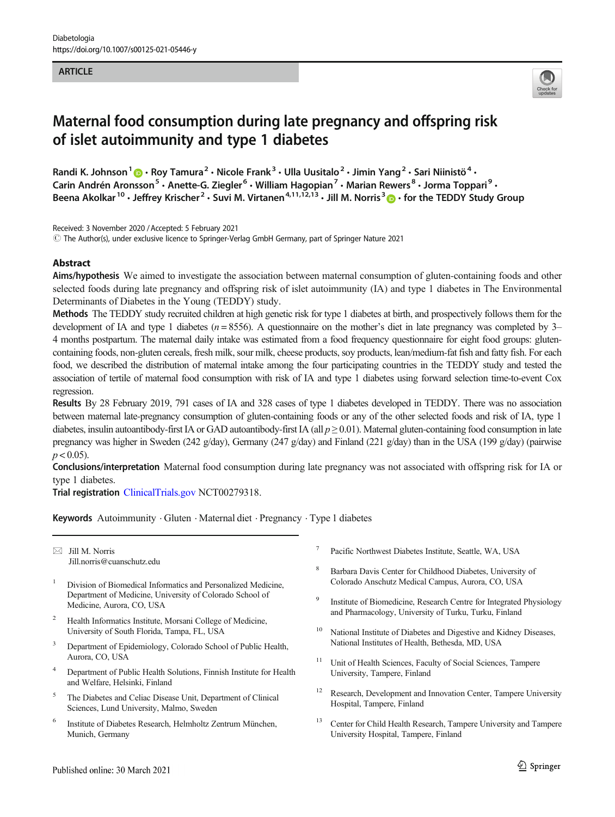#### **ARTICLE**



# Maternal food consumption during late pregnancy and offspring risk of islet autoimmunity and type 1 diabetes

Randi K. Johnson<sup>1</sup>  $\cdot$  Roy Tamura<sup>2</sup>  $\cdot$  Nicole Frank<sup>3</sup>  $\cdot$  Ulla Uusitalo<sup>2</sup>  $\cdot$  Jimin Yang<sup>2</sup>  $\cdot$  Sari Niinistö<sup>4</sup>  $\cdot$ Carin Andrén Aronsson<sup>5</sup> • Anette-G. Ziegler<sup>6</sup> • William Hagopian<sup>7</sup> • Marian Rewers<sup>8</sup> • Jorma Toppari<sup>9</sup> • Beena Akolkar<sup>10</sup> · Jeffrey Krischer<sup>2</sup> · Suvi M. Virtanen<sup>4,11,12,13</sup> · Jill M. Norris<sup>3</sup> . for the TEDDY Study Group

Received: 3 November 2020 /Accepted: 5 February 2021  $\degree$  The Author(s), under exclusive licence to Springer-Verlag GmbH Germany, part of Springer Nature 2021

### **Abstract**

Aims/hypothesis We aimed to investigate the association between maternal consumption of gluten-containing foods and other selected foods during late pregnancy and offspring risk of islet autoimmunity (IA) and type 1 diabetes in The Environmental Determinants of Diabetes in the Young (TEDDY) study.

Methods The TEDDY study recruited children at high genetic risk for type 1 diabetes at birth, and prospectively follows them for the development of IA and type 1 diabetes ( $n = 8556$ ). A questionnaire on the mother's diet in late pregnancy was completed by 3– 4 months postpartum. The maternal daily intake was estimated from a food frequency questionnaire for eight food groups: glutencontaining foods, non-gluten cereals, fresh milk, sour milk, cheese products, soy products, lean/medium-fat fish and fatty fish. For each food, we described the distribution of maternal intake among the four participating countries in the TEDDY study and tested the association of tertile of maternal food consumption with risk of IA and type 1 diabetes using forward selection time-to-event Cox regression.

Results By 28 February 2019, 791 cases of IA and 328 cases of type 1 diabetes developed in TEDDY. There was no association between maternal late-pregnancy consumption of gluten-containing foods or any of the other selected foods and risk of IA, type 1 diabetes, insulin autoantibody-first IA or GAD autoantibody-first IA (all  $p \ge 0.01$ ). Maternal gluten-containing food consumption in late pregnancy was higher in Sweden (242 g/day), Germany (247 g/day) and Finland (221 g/day) than in the USA (199 g/day) (pairwise  $p < 0.05$ ).

Conclusions/interpretation Maternal food consumption during late pregnancy was not associated with offspring risk for IA or type 1 diabetes.

Trial registration [ClinicalTrials.gov](http://clinicaltrials.gov) NCT00279318.

Keywords Autoimmunity · Gluten · Maternal diet · Pregnancy · Type 1 diabetes

 $\boxtimes$  Jill M. Norris [Jill.norris@cuanschutz.edu](mailto:Jill.norris@cuanschutz.edu)

- <sup>1</sup> Division of Biomedical Informatics and Personalized Medicine, Department of Medicine, University of Colorado School of Medicine, Aurora, CO, USA
- <sup>2</sup> Health Informatics Institute, Morsani College of Medicine, University of South Florida, Tampa, FL, USA
- <sup>3</sup> Department of Epidemiology, Colorado School of Public Health, Aurora, CO, USA
- <sup>4</sup> Department of Public Health Solutions, Finnish Institute for Health and Welfare, Helsinki, Finland
- <sup>5</sup> The Diabetes and Celiac Disease Unit, Department of Clinical Sciences, Lund University, Malmo, Sweden
- <sup>6</sup> Institute of Diabetes Research, Helmholtz Zentrum München, Munich, Germany
- Pacific Northwest Diabetes Institute, Seattle, WA, USA
- <sup>8</sup> Barbara Davis Center for Childhood Diabetes, University of Colorado Anschutz Medical Campus, Aurora, CO, USA
- <sup>9</sup> Institute of Biomedicine, Research Centre for Integrated Physiology and Pharmacology, University of Turku, Turku, Finland
- <sup>10</sup> National Institute of Diabetes and Digestive and Kidney Diseases, National Institutes of Health, Bethesda, MD, USA
- <sup>11</sup> Unit of Health Sciences, Faculty of Social Sciences, Tampere University, Tampere, Finland
- Research, Development and Innovation Center, Tampere University Hospital, Tampere, Finland
- <sup>13</sup> Center for Child Health Research, Tampere University and Tampere University Hospital, Tampere, Finland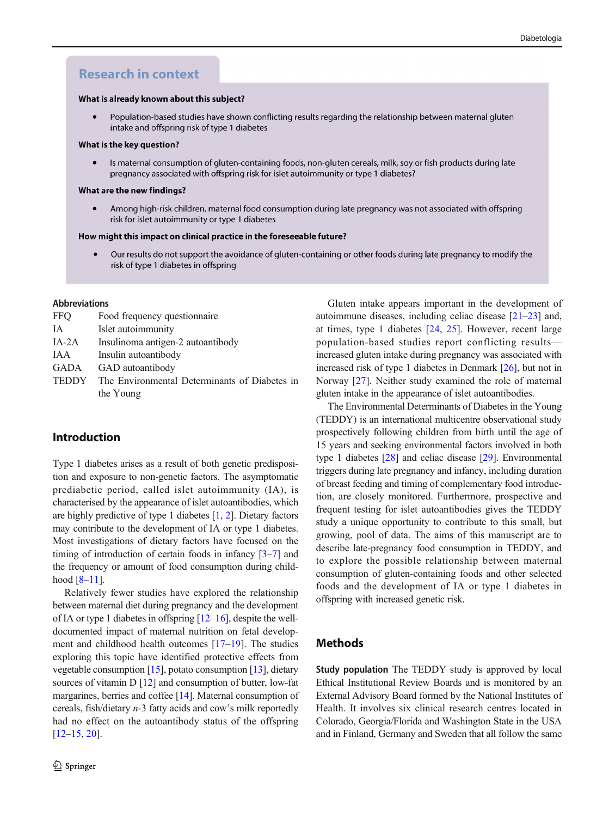# **Research in context**

#### What is already known about this subject?

Population-based studies have shown conflicting results regarding the relationship between maternal gluten  $\bullet$ intake and offspring risk of type 1 diabetes

#### What is the key question?

Is maternal consumption of gluten-containing foods, non-gluten cereals, milk, soy or fish products during late pregnancy associated with offspring risk for islet autoimmunity or type 1 diabetes?

#### What are the new findings?

Among high-risk children, maternal food consumption during late pregnancy was not associated with offspring risk for islet autoimmunity or type 1 diabetes

#### How might this impact on clinical practice in the foreseeable future?

 $\bullet$ Our results do not support the avoidance of gluten-containing or other foods during late pregnancy to modify the risk of type 1 diabetes in offspring

#### Abbreviations

| <b>FFQ</b>   | Food frequency questionnaire                  |
|--------------|-----------------------------------------------|
| <b>IA</b>    | Islet autoimmunity                            |
| $IA-2A$      | Insulinoma antigen-2 autoantibody             |
| IAA          | Insulin autoantibody                          |
| GADA         | GAD autoantibody                              |
| <b>TEDDY</b> | The Environmental Determinants of Diabetes in |
|              | the Young                                     |

## Introduction

Type 1 diabetes arises as a result of both genetic predisposition and exposure to non-genetic factors. The asymptomatic prediabetic period, called islet autoimmunity (IA), is characterised by the appearance of islet autoantibodies, which are highly predictive of type 1 diabetes [[1](#page-7-0), [2](#page-7-0)]. Dietary factors may contribute to the development of IA or type 1 diabetes. Most investigations of dietary factors have focused on the timing of introduction of certain foods in infancy [[3](#page-7-0)–[7](#page-7-0)] and the frequency or amount of food consumption during childhood  $[8-11]$  $[8-11]$  $[8-11]$ .

Relatively fewer studies have explored the relationship between maternal diet during pregnancy and the development of IA or type 1 diabetes in offspring  $[12–16]$  $[12–16]$  $[12–16]$  $[12–16]$  $[12–16]$ , despite the welldocumented impact of maternal nutrition on fetal development and childhood health outcomes [\[17](#page-7-0)–[19](#page-7-0)]. The studies exploring this topic have identified protective effects from vegetable consumption [[15](#page-7-0)], potato consumption [\[13\]](#page-7-0), dietary sources of vitamin D [\[12\]](#page-7-0) and consumption of butter, low-fat margarines, berries and coffee [\[14](#page-7-0)]. Maternal consumption of cereals, fish/dietary n-3 fatty acids and cow's milk reportedly had no effect on the autoantibody status of the offspring [\[12](#page-7-0)–[15,](#page-7-0) [20](#page-7-0)].

Gluten intake appears important in the development of autoimmune diseases, including celiac disease [\[21](#page-7-0)–[23\]](#page-7-0) and, at times, type 1 diabetes [[24](#page-7-0), [25\]](#page-7-0). However, recent large population-based studies report conflicting results increased gluten intake during pregnancy was associated with increased risk of type 1 diabetes in Denmark [[26\]](#page-7-0), but not in Norway [[27\]](#page-8-0). Neither study examined the role of maternal gluten intake in the appearance of islet autoantibodies.

The Environmental Determinants of Diabetes in the Young (TEDDY) is an international multicentre observational study prospectively following children from birth until the age of 15 years and seeking environmental factors involved in both type 1 diabetes [\[28\]](#page-8-0) and celiac disease [[29\]](#page-8-0). Environmental triggers during late pregnancy and infancy, including duration of breast feeding and timing of complementary food introduction, are closely monitored. Furthermore, prospective and frequent testing for islet autoantibodies gives the TEDDY study a unique opportunity to contribute to this small, but growing, pool of data. The aims of this manuscript are to describe late-pregnancy food consumption in TEDDY, and to explore the possible relationship between maternal consumption of gluten-containing foods and other selected foods and the development of IA or type 1 diabetes in offspring with increased genetic risk.

## Methods

Study population The TEDDY study is approved by local Ethical Institutional Review Boards and is monitored by an External Advisory Board formed by the National Institutes of Health. It involves six clinical research centres located in Colorado, Georgia/Florida and Washington State in the USA and in Finland, Germany and Sweden that all follow the same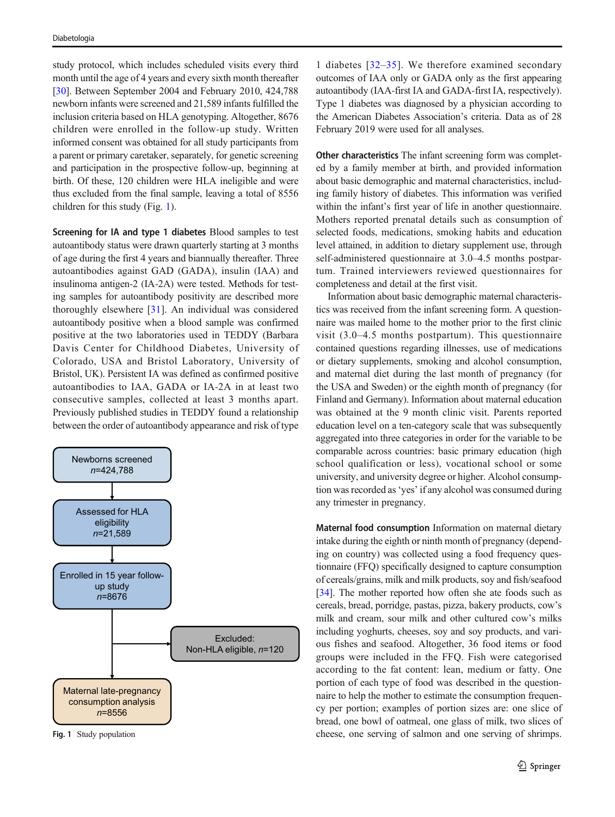study protocol, which includes scheduled visits every third month until the age of 4 years and every sixth month thereafter [\[30\]](#page-8-0). Between September 2004 and February 2010, 424,788 newborn infants were screened and 21,589 infants fulfilled the inclusion criteria based on HLA genotyping. Altogether, 8676 children were enrolled in the follow-up study. Written informed consent was obtained for all study participants from a parent or primary caretaker, separately, for genetic screening and participation in the prospective follow-up, beginning at birth. Of these, 120 children were HLA ineligible and were thus excluded from the final sample, leaving a total of 8556 children for this study (Fig. 1).

Screening for IA and type 1 diabetes Blood samples to test autoantibody status were drawn quarterly starting at 3 months of age during the first 4 years and biannually thereafter. Three autoantibodies against GAD (GADA), insulin (IAA) and insulinoma antigen-2 (IA-2A) were tested. Methods for testing samples for autoantibody positivity are described more thoroughly elsewhere [[31](#page-8-0)]. An individual was considered autoantibody positive when a blood sample was confirmed positive at the two laboratories used in TEDDY (Barbara Davis Center for Childhood Diabetes, University of Colorado, USA and Bristol Laboratory, University of Bristol, UK). Persistent IA was defined as confirmed positive autoantibodies to IAA, GADA or IA-2A in at least two consecutive samples, collected at least 3 months apart. Previously published studies in TEDDY found a relationship between the order of autoantibody appearance and risk of type



Fig. 1 Study population

1 diabetes [[32](#page-8-0)–[35\]](#page-8-0). We therefore examined secondary outcomes of IAA only or GADA only as the first appearing autoantibody (IAA-first IA and GADA-first IA, respectively). Type 1 diabetes was diagnosed by a physician according to the American Diabetes Association's criteria. Data as of 28 February 2019 were used for all analyses.

Other characteristics The infant screening form was completed by a family member at birth, and provided information about basic demographic and maternal characteristics, including family history of diabetes. This information was verified within the infant's first year of life in another questionnaire. Mothers reported prenatal details such as consumption of selected foods, medications, smoking habits and education level attained, in addition to dietary supplement use, through self-administered questionnaire at 3.0–4.5 months postpartum. Trained interviewers reviewed questionnaires for completeness and detail at the first visit.

Information about basic demographic maternal characteristics was received from the infant screening form. A questionnaire was mailed home to the mother prior to the first clinic visit (3.0–4.5 months postpartum). This questionnaire contained questions regarding illnesses, use of medications or dietary supplements, smoking and alcohol consumption, and maternal diet during the last month of pregnancy (for the USA and Sweden) or the eighth month of pregnancy (for Finland and Germany). Information about maternal education was obtained at the 9 month clinic visit. Parents reported education level on a ten-category scale that was subsequently aggregated into three categories in order for the variable to be comparable across countries: basic primary education (high school qualification or less), vocational school or some university, and university degree or higher. Alcohol consumption was recorded as'yes' if any alcohol was consumed during any trimester in pregnancy.

Maternal food consumption Information on maternal dietary intake during the eighth or ninth month of pregnancy (depending on country) was collected using a food frequency questionnaire (FFQ) specifically designed to capture consumption of cereals/grains, milk and milk products, soy and fish/seafood [\[34](#page-8-0)]. The mother reported how often she ate foods such as cereals, bread, porridge, pastas, pizza, bakery products, cow's milk and cream, sour milk and other cultured cow's milks including yoghurts, cheeses, soy and soy products, and various fishes and seafood. Altogether, 36 food items or food groups were included in the FFQ. Fish were categorised according to the fat content: lean, medium or fatty. One portion of each type of food was described in the questionnaire to help the mother to estimate the consumption frequency per portion; examples of portion sizes are: one slice of bread, one bowl of oatmeal, one glass of milk, two slices of cheese, one serving of salmon and one serving of shrimps.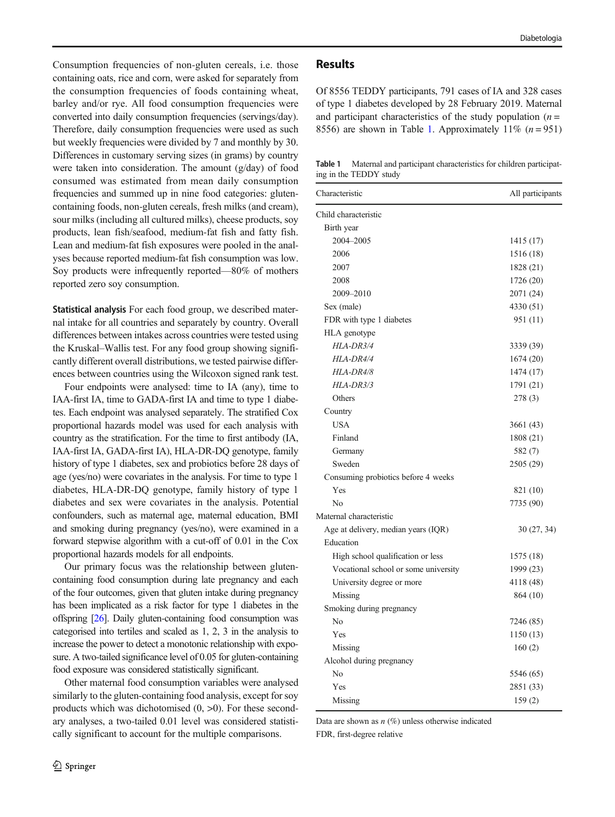Consumption frequencies of non-gluten cereals, i.e. those containing oats, rice and corn, were asked for separately from the consumption frequencies of foods containing wheat, barley and/or rye. All food consumption frequencies were converted into daily consumption frequencies (servings/day). Therefore, daily consumption frequencies were used as such but weekly frequencies were divided by 7 and monthly by 30. Differences in customary serving sizes (in grams) by country were taken into consideration. The amount (g/day) of food consumed was estimated from mean daily consumption frequencies and summed up in nine food categories: glutencontaining foods, non-gluten cereals, fresh milks (and cream), sour milks (including all cultured milks), cheese products, soy products, lean fish/seafood, medium-fat fish and fatty fish. Lean and medium-fat fish exposures were pooled in the analyses because reported medium-fat fish consumption was low. Soy products were infrequently reported—80% of mothers reported zero soy consumption.

Statistical analysis For each food group, we described maternal intake for all countries and separately by country. Overall differences between intakes across countries were tested using the Kruskal–Wallis test. For any food group showing significantly different overall distributions, we tested pairwise differences between countries using the Wilcoxon signed rank test.

Four endpoints were analysed: time to IA (any), time to IAA-first IA, time to GADA-first IA and time to type 1 diabetes. Each endpoint was analysed separately. The stratified Cox proportional hazards model was used for each analysis with country as the stratification. For the time to first antibody (IA, IAA-first IA, GADA-first IA), HLA-DR-DQ genotype, family history of type 1 diabetes, sex and probiotics before 28 days of age (yes/no) were covariates in the analysis. For time to type 1 diabetes, HLA-DR-DQ genotype, family history of type 1 diabetes and sex were covariates in the analysis. Potential confounders, such as maternal age, maternal education, BMI and smoking during pregnancy (yes/no), were examined in a forward stepwise algorithm with a cut-off of 0.01 in the Cox proportional hazards models for all endpoints.

Our primary focus was the relationship between glutencontaining food consumption during late pregnancy and each of the four outcomes, given that gluten intake during pregnancy has been implicated as a risk factor for type 1 diabetes in the offspring [\[26\]](#page-7-0). Daily gluten-containing food consumption was categorised into tertiles and scaled as 1, 2, 3 in the analysis to increase the power to detect a monotonic relationship with exposure. A two-tailed significance level of 0.05 for gluten-containing food exposure was considered statistically significant.

Other maternal food consumption variables were analysed similarly to the gluten-containing food analysis, except for soy products which was dichotomised  $(0, >0)$ . For these secondary analyses, a two-tailed 0.01 level was considered statistically significant to account for the multiple comparisons.

## Results

Of 8556 TEDDY participants, 791 cases of IA and 328 cases of type 1 diabetes developed by 28 February 2019. Maternal and participant characteristics of the study population  $(n =$ 8556) are shown in Table 1. Approximately 11%  $(n = 951)$ 

Table 1 Maternal and participant characteristics for children participating in the TEDDY study

| Characteristic                       | All participants |
|--------------------------------------|------------------|
| Child characteristic                 |                  |
| Birth year                           |                  |
| 2004-2005                            | 1415 (17)        |
| 2006                                 | 1516 (18)        |
| 2007                                 | 1828 (21)        |
| 2008                                 | 1726 (20)        |
| 2009–2010                            | 2071 (24)        |
| Sex (male)                           | 4330 (51)        |
| FDR with type 1 diabetes             | 951 (11)         |
| HLA genotype                         |                  |
| HLA-DR3/4                            | 3339 (39)        |
| HLA-DR4/4                            | 1674 (20)        |
| HLA-DR4/8                            | 1474 (17)        |
| HLA-DR3/3                            | 1791 (21)        |
| Others                               | 278 (3)          |
| Country                              |                  |
| <b>USA</b>                           | 3661 (43)        |
| Finland                              | 1808 (21)        |
| Germany                              | 582 (7)          |
| Sweden                               | 2505 (29)        |
| Consuming probiotics before 4 weeks  |                  |
| Yes                                  | 821 (10)         |
| N <sub>0</sub>                       | 7735 (90)        |
| Maternal characteristic              |                  |
| Age at delivery, median years (IQR)  | 30(27, 34)       |
| Education                            |                  |
| High school qualification or less    | 1575 (18)        |
| Vocational school or some university | 1999 (23)        |
| University degree or more            | 4118 (48)        |
| Missing                              | 864 (10)         |
| Smoking during pregnancy             |                  |
| No                                   | 7246 (85)        |
| Yes                                  | 1150 (13)        |
| Missing                              | 160(2)           |
| Alcohol during pregnancy             |                  |
| No                                   | 5546 (65)        |
| Yes                                  | 2851 (33)        |
| Missing                              | 159(2)           |

Data are shown as  $n$  (%) unless otherwise indicated

FDR, first-degree relative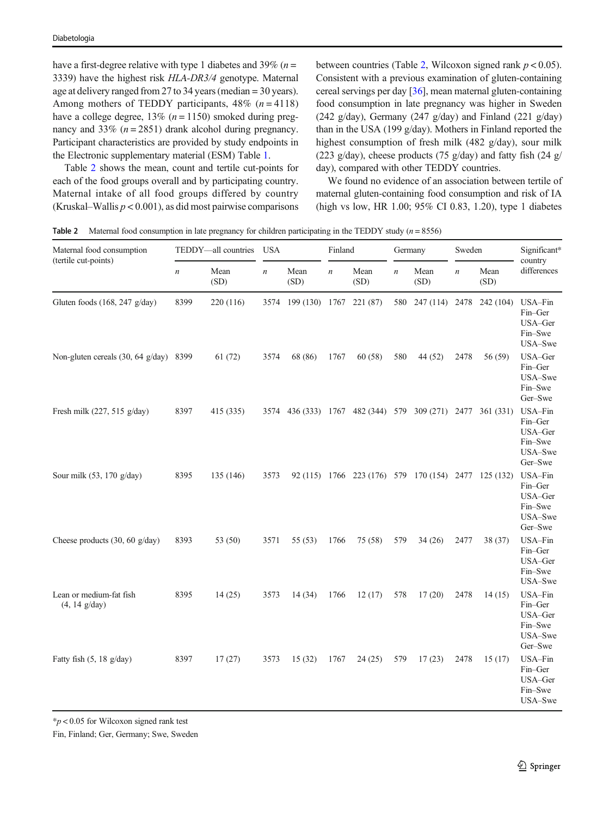have a first-degree relative with type 1 diabetes and 39% ( $n =$ 3339) have the highest risk HLA-DR3/4 genotype. Maternal age at delivery ranged from 27 to 34 years (median = 30 years). Among mothers of TEDDY participants,  $48\%$  ( $n = 4118$ ) have a college degree,  $13\%$  ( $n = 1150$ ) smoked during pregnancy and 33%  $(n = 2851)$  drank alcohol during pregnancy. Participant characteristics are provided by study endpoints in the Electronic supplementary material (ESM) Table 1.

Table 2 shows the mean, count and tertile cut-points for each of the food groups overall and by participating country. Maternal intake of all food groups differed by country (Kruskal–Wallis  $p < 0.001$ ), as did most pairwise comparisons between countries (Table 2, Wilcoxon signed rank  $p < 0.05$ ). Consistent with a previous examination of gluten-containing cereal servings per day [\[36](#page-8-0)], mean maternal gluten-containing food consumption in late pregnancy was higher in Sweden (242 g/day), Germany (247 g/day) and Finland (221 g/day) than in the USA (199 g/day). Mothers in Finland reported the highest consumption of fresh milk (482 g/day), sour milk (223 g/day), cheese products (75 g/day) and fatty fish (24 g/ day), compared with other TEDDY countries.

We found no evidence of an association between tertile of maternal gluten-containing food consumption and risk of IA (high vs low, HR 1.00; 95% CI 0.83, 1.20), type 1 diabetes

**Table 2** Maternal food consumption in late pregnancy for children participating in the TEDDY study  $(n = 8556)$ 

| Maternal food consumption                          | TEDDY-all countries |              | <b>USA</b>       |                                                            | Finland          |                                                      | Germany          |                    | Sweden           |              | Significant*                                                   |  |
|----------------------------------------------------|---------------------|--------------|------------------|------------------------------------------------------------|------------------|------------------------------------------------------|------------------|--------------------|------------------|--------------|----------------------------------------------------------------|--|
| (tertile cut-points)                               | $\boldsymbol{n}$    | Mean<br>(SD) | $\boldsymbol{n}$ | Mean<br>(SD)                                               | $\boldsymbol{n}$ | Mean<br>(SD)                                         | $\boldsymbol{n}$ | Mean<br>(SD)       | $\boldsymbol{n}$ | Mean<br>(SD) | country<br>differences                                         |  |
| Gluten foods (168, 247 g/day)                      | 8399                | 220 (116)    |                  | 3574 199 (130) 1767                                        |                  | 221 (87)                                             |                  | 580 247 (114) 2478 |                  | 242 (104)    | USA-Fin<br>Fin-Ger<br>USA-Ger<br>Fin-Swe<br>USA-Swe            |  |
| Non-gluten cereals (30, 64 g/day) 8399             |                     | 61 (72)      | 3574             | 68 (86)                                                    | 1767             | 60 (58)                                              | 580              | 44 (52)            | 2478             | 56 (59)      | USA-Ger<br>Fin-Ger<br>USA-Swe<br>Fin-Swe<br>Ger-Swe            |  |
| Fresh milk (227, 515 g/day)                        | 8397                | 415 (335)    |                  | 3574 436 (333) 1767 482 (344) 579 309 (271) 2477 361 (331) |                  |                                                      |                  |                    |                  |              | USA-Fin<br>Fin-Ger<br>USA-Ger<br>Fin-Swe<br>USA-Swe<br>Ger-Swe |  |
| Sour milk (53, 170 g/day)                          | 8395                | 135 (146)    | 3573             |                                                            |                  | 92 (115) 1766 223 (176) 579 170 (154) 2477 125 (132) |                  |                    |                  |              | USA-Fin<br>Fin-Ger<br>USA-Ger<br>Fin-Swe<br>USA-Swe<br>Ger-Swe |  |
| Cheese products $(30, 60 \text{ g/day})$           | 8393                | 53 (50)      | 3571             | 55 (53)                                                    | 1766             | 75 (58)                                              | 579              | 34(26)             | 2477             | 38 (37)      | USA-Fin<br>Fin-Ger<br>USA-Ger<br>Fin-Swe<br>USA-Swe            |  |
| Lean or medium-fat fish<br>$(4, 14 \text{ g/day})$ | 8395                | 14(25)       | 3573             | 14(34)                                                     | 1766             | 12(17)                                               | 578              | 17(20)             | 2478             | 14(15)       | USA-Fin<br>Fin-Ger<br>USA-Ger<br>Fin-Swe<br>USA-Swe<br>Ger-Swe |  |
| Fatty fish $(5, 18 \text{ g/day})$                 | 8397                | 17(27)       | 3573             | 15(32)                                                     | 1767             | 24 (25)                                              | 579              | 17(23)             | 2478             | 15(17)       | USA-Fin<br>Fin-Ger<br>USA-Ger<br>Fin-Swe<br>USA-Swe            |  |

 $*p < 0.05$  for Wilcoxon signed rank test

Fin, Finland; Ger, Germany; Swe, Sweden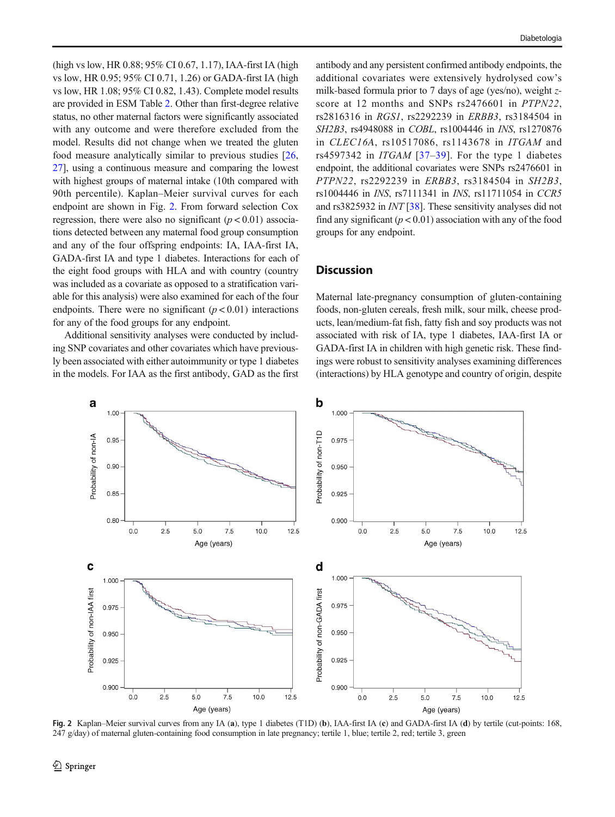(high vs low, HR 0.88; 95% CI 0.67, 1.17), IAA-first IA (high vs low, HR 0.95; 95% CI 0.71, 1.26) or GADA-first IA (high vs low, HR 1.08; 95% CI 0.82, 1.43). Complete model results are provided in ESM Table 2. Other than first-degree relative status, no other maternal factors were significantly associated with any outcome and were therefore excluded from the model. Results did not change when we treated the gluten food measure analytically similar to previous studies [[26,](#page-7-0) [27\]](#page-8-0), using a continuous measure and comparing the lowest with highest groups of maternal intake (10th compared with 90th percentile). Kaplan–Meier survival curves for each endpoint are shown in Fig. 2. From forward selection Cox regression, there were also no significant  $(p < 0.01)$  associations detected between any maternal food group consumption and any of the four offspring endpoints: IA, IAA-first IA, GADA-first IA and type 1 diabetes. Interactions for each of the eight food groups with HLA and with country (country was included as a covariate as opposed to a stratification variable for this analysis) were also examined for each of the four endpoints. There were no significant  $(p < 0.01)$  interactions for any of the food groups for any endpoint.

Additional sensitivity analyses were conducted by including SNP covariates and other covariates which have previously been associated with either autoimmunity or type 1 diabetes in the models. For IAA as the first antibody, GAD as the first

antibody and any persistent confirmed antibody endpoints, the additional covariates were extensively hydrolysed cow's milk-based formula prior to 7 days of age (yes/no), weight zscore at 12 months and SNPs rs2476601 in PTPN22, rs2816316 in RGS1, rs2292239 in ERBB3, rs3184504 in SH2B3, rs4948088 in COBL, rs1004446 in INS, rs1270876 in CLEC16A, rs10517086, rs1143678 in ITGAM and rs4597342 in *ITGAM* [[37](#page-8-0)–[39\]](#page-8-0). For the type 1 diabetes endpoint, the additional covariates were SNPs rs2476601 in PTPN22, rs2292239 in ERBB3, rs3184504 in SH2B3, rs1004446 in INS, rs7111341 in INS, rs11711054 in CCR5 and rs3825932 in INT [[38](#page-8-0)]. These sensitivity analyses did not find any significant  $(p < 0.01)$  association with any of the food groups for any endpoint.

## **Discussion**

Maternal late-pregnancy consumption of gluten-containing foods, non-gluten cereals, fresh milk, sour milk, cheese products, lean/medium-fat fish, fatty fish and soy products was not associated with risk of IA, type 1 diabetes, IAA-first IA or GADA-first IA in children with high genetic risk. These findings were robust to sensitivity analyses examining differences (interactions) by HLA genotype and country of origin, despite



Fig. 2 Kaplan–Meier survival curves from any IA (a), type 1 diabetes (T1D) (b), IAA-first IA (c) and GADA-first IA (d) by tertile (cut-points: 168, 247 g/day) of maternal gluten-containing food consumption in late pregnancy; tertile 1, blue; tertile 2, red; tertile 3, green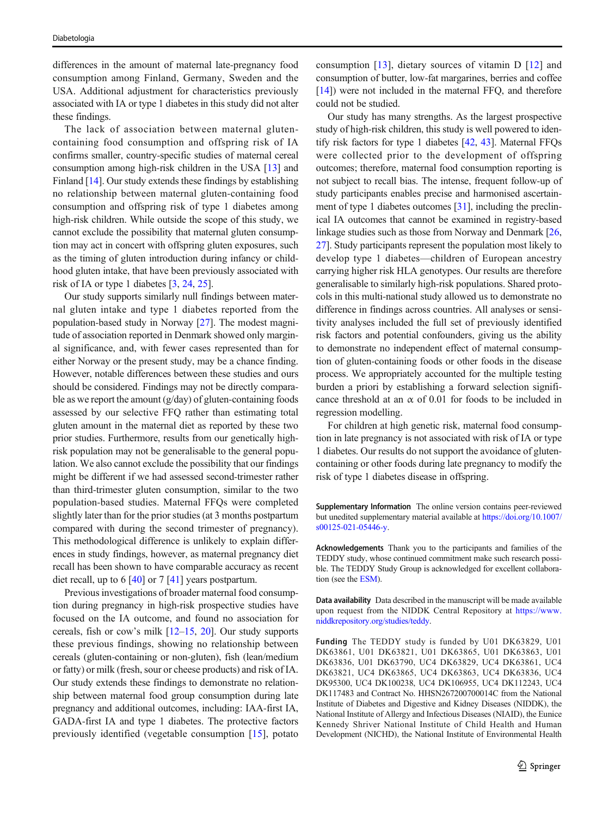differences in the amount of maternal late-pregnancy food consumption among Finland, Germany, Sweden and the USA. Additional adjustment for characteristics previously associated with IA or type 1 diabetes in this study did not alter these findings.

The lack of association between maternal glutencontaining food consumption and offspring risk of IA confirms smaller, country-specific studies of maternal cereal consumption among high-risk children in the USA [[13\]](#page-7-0) and Finland [[14\]](#page-7-0). Our study extends these findings by establishing no relationship between maternal gluten-containing food consumption and offspring risk of type 1 diabetes among high-risk children. While outside the scope of this study, we cannot exclude the possibility that maternal gluten consumption may act in concert with offspring gluten exposures, such as the timing of gluten introduction during infancy or childhood gluten intake, that have been previously associated with risk of IA or type 1 diabetes [[3,](#page-7-0) [24](#page-7-0), [25](#page-7-0)].

Our study supports similarly null findings between maternal gluten intake and type 1 diabetes reported from the population-based study in Norway [[27](#page-8-0)]. The modest magnitude of association reported in Denmark showed only marginal significance, and, with fewer cases represented than for either Norway or the present study, may be a chance finding. However, notable differences between these studies and ours should be considered. Findings may not be directly comparable as we report the amount (g/day) of gluten-containing foods assessed by our selective FFQ rather than estimating total gluten amount in the maternal diet as reported by these two prior studies. Furthermore, results from our genetically highrisk population may not be generalisable to the general population. We also cannot exclude the possibility that our findings might be different if we had assessed second-trimester rather than third-trimester gluten consumption, similar to the two population-based studies. Maternal FFQs were completed slightly later than for the prior studies (at 3 months postpartum compared with during the second trimester of pregnancy). This methodological difference is unlikely to explain differences in study findings, however, as maternal pregnancy diet recall has been shown to have comparable accuracy as recent diet recall, up to 6 [[40](#page-8-0)] or 7 [[41](#page-8-0)] years postpartum.

Previous investigations of broader maternal food consumption during pregnancy in high-risk prospective studies have focused on the IA outcome, and found no association for cereals, fish or cow's milk [[12](#page-7-0)–[15](#page-7-0), [20](#page-7-0)]. Our study supports these previous findings, showing no relationship between cereals (gluten-containing or non-gluten), fish (lean/medium or fatty) or milk (fresh, sour or cheese products) and risk of IA. Our study extends these findings to demonstrate no relationship between maternal food group consumption during late pregnancy and additional outcomes, including: IAA-first IA, GADA-first IA and type 1 diabetes. The protective factors previously identified (vegetable consumption [\[15](#page-7-0)], potato consumption [\[13\]](#page-7-0), dietary sources of vitamin D [\[12\]](#page-7-0) and consumption of butter, low-fat margarines, berries and coffee [\[14](#page-7-0)]) were not included in the maternal FFQ, and therefore could not be studied.

Our study has many strengths. As the largest prospective study of high-risk children, this study is well powered to identify risk factors for type 1 diabetes [\[42](#page-8-0), [43\]](#page-8-0). Maternal FFQs were collected prior to the development of offspring outcomes; therefore, maternal food consumption reporting is not subject to recall bias. The intense, frequent follow-up of study participants enables precise and harmonised ascertain-ment of type 1 diabetes outcomes [[31\]](#page-8-0), including the preclinical IA outcomes that cannot be examined in registry-based linkage studies such as those from Norway and Denmark [\[26,](#page-7-0) [27\]](#page-8-0). Study participants represent the population most likely to develop type 1 diabetes—children of European ancestry carrying higher risk HLA genotypes. Our results are therefore generalisable to similarly high-risk populations. Shared protocols in this multi-national study allowed us to demonstrate no difference in findings across countries. All analyses or sensitivity analyses included the full set of previously identified risk factors and potential confounders, giving us the ability to demonstrate no independent effect of maternal consumption of gluten-containing foods or other foods in the disease process. We appropriately accounted for the multiple testing burden a priori by establishing a forward selection significance threshold at an  $\alpha$  of 0.01 for foods to be included in regression modelling.

For children at high genetic risk, maternal food consumption in late pregnancy is not associated with risk of IA or type 1 diabetes. Our results do not support the avoidance of glutencontaining or other foods during late pregnancy to modify the risk of type 1 diabetes disease in offspring.

Supplementary Information The online version contains peer-reviewed but unedited supplementary material available at [https://doi.org/10.1007/](https://doi.org/10.1007/s00125-021-05446-y) [s00125-021-05446-y](https://doi.org/10.1007/s00125-021-05446-y).

Acknowledgements Thank you to the participants and families of the TEDDY study, whose continued commitment make such research possible. The TEDDY Study Group is acknowledged for excellent collaboration (see the ESM).

Data availability Data described in the manuscript will be made available upon request from the NIDDK Central Repository at [https://www.](https://doi.org/) [niddkrepository.org/studies/teddy.](https://doi.org/)

Funding The TEDDY study is funded by U01 DK63829, U01 DK63861, U01 DK63821, U01 DK63865, U01 DK63863, U01 DK63836, U01 DK63790, UC4 DK63829, UC4 DK63861, UC4 DK63821, UC4 DK63865, UC4 DK63863, UC4 DK63836, UC4 DK95300, UC4 DK100238, UC4 DK106955, UC4 DK112243, UC4 DK117483 and Contract No. HHSN267200700014C from the National Institute of Diabetes and Digestive and Kidney Diseases (NIDDK), the National Institute of Allergy and Infectious Diseases (NIAID), the Eunice Kennedy Shriver National Institute of Child Health and Human Development (NICHD), the National Institute of Environmental Health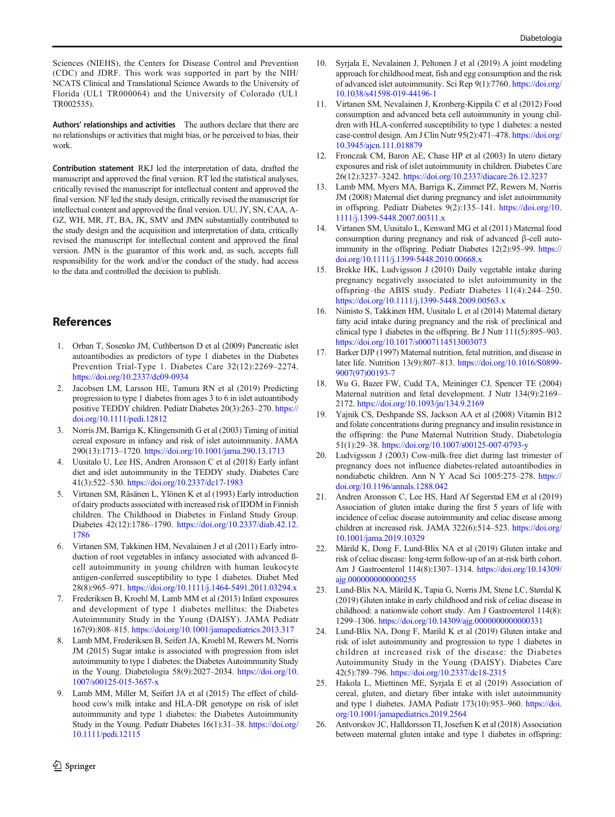<span id="page-7-0"></span>Sciences (NIEHS), the Centers for Disease Control and Prevention (CDC) and JDRF. This work was supported in part by the NIH/ NCATS Clinical and Translational Science Awards to the University of Florida (UL1 TR000064) and the University of Colorado (UL1 TR002535).

Authors' relationships and activities The authors declare that there are no relationships or activities that might bias, or be perceived to bias, their work.

Contribution statement RKJ led the interpretation of data, drafted the manuscript and approved the final version. RT led the statistical analyses, critically revised the manuscript for intellectual content and approved the final version. NF led the study design, critically revised the manuscript for intellectual content and approved the final version. UU, JY, SN, CAA, A-GZ, WH, MR, JT, BA, JK, SMV and JMN substantially contributed to the study design and the acquisition and interpretation of data, critically revised the manuscript for intellectual content and approved the final version. JMN is the guarantor of this work and, as such, accepts full responsibility for the work and/or the conduct of the study, had access to the data and controlled the decision to publish.

# **References**

- 1. Orban T, Sosenko JM, Cuthbertson D et al (2009) Pancreatic islet autoantibodies as predictors of type 1 diabetes in the Diabetes Prevention Trial-Type 1. Diabetes Care 32(12):2269–2274. <https://doi.org/10.2337/dc09-0934>
- 2. Jacobsen LM, Larsson HE, Tamura RN et al (2019) Predicting progression to type 1 diabetes from ages 3 to 6 in islet autoantibody positive TEDDY children. Pediatr Diabetes 20(3):263–270. [https://](https://doi.org/10.1111/pedi.12812) [doi.org/10.1111/pedi.12812](https://doi.org/10.1111/pedi.12812)
- 3. Norris JM, Barriga K, Klingensmith G et al (2003) Timing of initial cereal exposure in infancy and risk of islet autoimmunity. JAMA 290(13):1713–1720. <https://doi.org/10.1001/jama.290.13.1713>
- 4. Uusitalo U, Lee HS, Andren Aronsson C et al (2018) Early infant diet and islet autoimmunity in the TEDDY study. Diabetes Care 41(3):522–530. <https://doi.org/10.2337/dc17-1983>
- 5. Virtanen SM, Räsänen L, Ylönen K et al (1993) Early introduction of dairy products associated with increased risk of IDDM in Finnish children. The Childhood in Diabetes in Finland Study Group. Diabetes 42(12):1786–1790. [https://doi.org/10.2337/diab.42.12.](https://doi.org/10.2337/diab.42.12.1786) [1786](https://doi.org/10.2337/diab.42.12.1786)
- 6. Virtanen SM, Takkinen HM, Nevalainen J et al (2011) Early introduction of root vegetables in infancy associated with advanced ßcell autoimmunity in young children with human leukocyte antigen-conferred susceptibility to type 1 diabetes. Diabet Med 28(8):965–971. <https://doi.org/10.1111/j.1464-5491.2011.03294.x>
- 7. Frederiksen B, Kroehl M, Lamb MM et al (2013) Infant exposures and development of type 1 diabetes mellitus: the Diabetes Autoimmunity Study in the Young (DAISY). JAMA Pediatr 167(9):808–815. <https://doi.org/10.1001/jamapediatrics.2013.317>
- 8. Lamb MM, Frederiksen B, Seifert JA, Kroehl M, Rewers M, Norris JM (2015) Sugar intake is associated with progression from islet autoimmunity to type 1 diabetes: the Diabetes Autoimmunity Study in the Young. Diabetologia 58(9):2027–2034. [https://doi.org/10.](https://doi.org/10.1007/s00125-015-3657-x) [1007/s00125-015-3657-x](https://doi.org/10.1007/s00125-015-3657-x)
- Lamb MM, Miller M, Seifert JA et al (2015) The effect of childhood cow's milk intake and HLA-DR genotype on risk of islet autoimmunity and type 1 diabetes: the Diabetes Autoimmunity Study in the Young. Pediatr Diabetes 16(1):31–38. [https://doi.org/](https://doi.org/10.1111/pedi.12115) [10.1111/pedi.12115](https://doi.org/10.1111/pedi.12115)
- 10. Syrjala E, Nevalainen J, Peltonen J et al (2019) A joint modeling approach for childhood meat, fish and egg consumption and the risk of advanced islet autoimmunity. Sci Rep 9(1):7760. [https://doi.org/](https://doi.org/10.1038/s41598-019-44196-1) [10.1038/s41598-019-44196-1](https://doi.org/10.1038/s41598-019-44196-1)
- 11. Virtanen SM, Nevalainen J, Kronberg-Kippila C et al (2012) Food consumption and advanced beta cell autoimmunity in young children with HLA-conferred susceptibility to type 1 diabetes: a nested case-control design. Am J Clin Nutr 95(2):471–478. [https://doi.org/](https://doi.org/10.3945/ajcn.111.018879) [10.3945/ajcn.111.018879](https://doi.org/10.3945/ajcn.111.018879)
- 12. Fronczak CM, Baron AE, Chase HP et al (2003) In utero dietary exposures and risk of islet autoimmunity in children. Diabetes Care 26(12):3237–3242. <https://doi.org/10.2337/diacare.26.12.3237>
- 13. Lamb MM, Myers MA, Barriga K, Zimmet PZ, Rewers M, Norris JM (2008) Maternal diet during pregnancy and islet autoimmunity in offspring. Pediatr Diabetes 9(2):135–141. [https://doi.org/10.](https://doi.org/10.1111/j.1399-5448.2007.00311.x) [1111/j.1399-5448.2007.00311.x](https://doi.org/10.1111/j.1399-5448.2007.00311.x)
- 14. Virtanen SM, Uusitalo L, Kenward MG et al (2011) Maternal food consumption during pregnancy and risk of advanced β-cell autoimmunity in the offspring. Pediatr Diabetes 12(2):95–99. [https://](https://doi.org/10.1111/j.1399-5448.2010.00668.x) [doi.org/10.1111/j.1399-5448.2010.00668.x](https://doi.org/10.1111/j.1399-5448.2010.00668.x)
- 15. Brekke HK, Ludvigsson J (2010) Daily vegetable intake during pregnancy negatively associated to islet autoimmunity in the offspring–the ABIS study. Pediatr Diabetes 11(4):244–250. <https://doi.org/10.1111/j.1399-5448.2009.00563.x>
- 16. Niinisto S, Takkinen HM, Uusitalo L et al (2014) Maternal dietary fatty acid intake during pregnancy and the risk of preclinical and clinical type 1 diabetes in the offspring. Br J Nutr 111(5):895–903. <https://doi.org/10.1017/s0007114513003073>
- 17. Barker DJP (1997) Maternal nutrition, fetal nutrition, and disease in later life. Nutrition 13(9):807–813. [https://doi.org/10.1016/S0899-](https://doi.org/10.1016/S0899-9007(97)00193-7) [9007\(97\)00193-7](https://doi.org/10.1016/S0899-9007(97)00193-7)
- 18. Wu G, Bazer FW, Cudd TA, Meininger CJ, Spencer TE (2004) Maternal nutrition and fetal development. J Nutr 134(9):2169– 2172. <https://doi.org/10.1093/jn/134.9.2169>
- 19. Yajnik CS, Deshpande SS, Jackson AA et al (2008) Vitamin B12 and folate concentrations during pregnancy and insulin resistance in the offspring: the Pune Maternal Nutrition Study. Diabetologia 51(1):29–38. <https://doi.org/10.1007/s00125-007-0793-y>
- 20. Ludvigsson J (2003) Cow-milk-free diet during last trimester of pregnancy does not influence diabetes-related autoantibodies in nondiabetic children. Ann N Y Acad Sci 1005:275–278. [https://](https://doi.org/10.1196/annals.1288.042) [doi.org/10.1196/annals.1288.042](https://doi.org/10.1196/annals.1288.042)
- 21. Andren Aronsson C, Lee HS, Hard Af Segerstad EM et al (2019) Association of gluten intake during the first 5 years of life with incidence of celiac disease autoimmunity and celiac disease among children at increased risk. JAMA 322(6):514-523. [https://doi.org/](https://doi.org/10.1001/jama.2019.10329) [10.1001/jama.2019.10329](https://doi.org/10.1001/jama.2019.10329)
- 22. Mårild K, Dong F, Lund-Blix NA et al (2019) Gluten intake and risk of celiac disease: long-term follow-up of an at-risk birth cohort. Am J Gastroenterol 114(8):1307–1314. [https://doi.org/10.14309/](https://doi.org/10.14309/ajg.0000000000000255) [ajg.0000000000000255](https://doi.org/10.14309/ajg.0000000000000255)
- 23. Lund-Blix NA, Mårild K, Tapia G, Norris JM, Stene LC, Størdal K (2019) Gluten intake in early childhood and risk of celiac disease in childhood: a nationwide cohort study. Am J Gastroenterol 114(8): 1299–1306. <https://doi.org/10.14309/ajg.0000000000000331>
- 24. Lund-Blix NA, Dong F, Marild K et al (2019) Gluten intake and risk of islet autoimmunity and progression to type 1 diabetes in children at increased risk of the disease: the Diabetes Autoimmunity Study in the Young (DAISY). Diabetes Care 42(5):789–796. <https://doi.org/10.2337/dc18-2315>
- 25. Hakola L, Miettinen ME, Syrjala E et al (2019) Association of cereal, gluten, and dietary fiber intake with islet autoimmunity and type 1 diabetes. JAMA Pediatr 173(10):953–960. [https://doi.](https://doi.org/10.1001/jamapediatrics.2019.2564) [org/10.1001/jamapediatrics.2019.2564](https://doi.org/10.1001/jamapediatrics.2019.2564)
- 26. Antvorskov JC, Halldorsson TI, Josefsen K et al (2018) Association between maternal gluten intake and type 1 diabetes in offspring: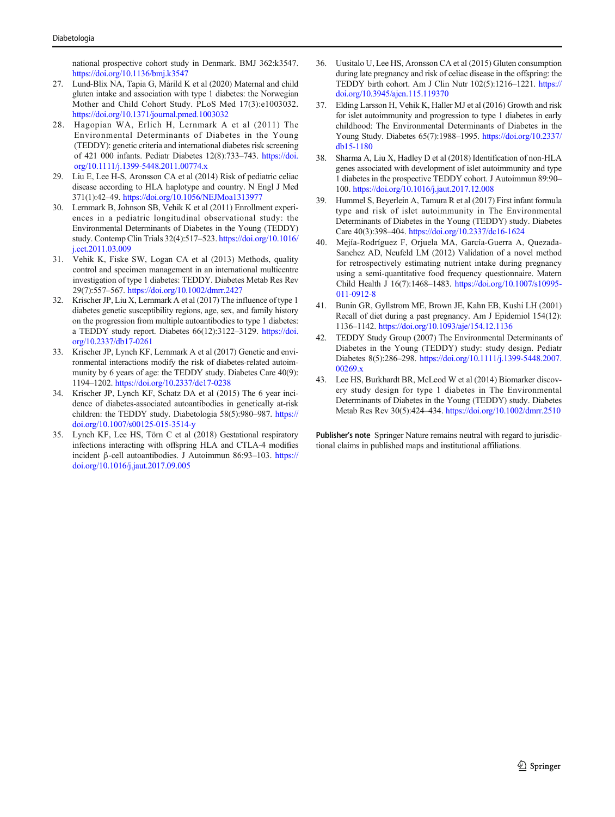<span id="page-8-0"></span>national prospective cohort study in Denmark. BMJ 362:k3547. <https://doi.org/10.1136/bmj.k3547>

- 27. Lund-Blix NA, Tapia G, Mårild K et al (2020) Maternal and child gluten intake and association with type 1 diabetes: the Norwegian Mother and Child Cohort Study. PLoS Med 17(3):e1003032. <https://doi.org/10.1371/journal.pmed.1003032>
- 28. Hagopian WA, Erlich H, Lernmark A et al (2011) The Environmental Determinants of Diabetes in the Young (TEDDY): genetic criteria and international diabetes risk screening of 421 000 infants. Pediatr Diabetes 12(8):733–743. [https://doi.](https://doi.org/10.1111/j.1399-5448.2011.00774.x) [org/10.1111/j.1399-5448.2011.00774.x](https://doi.org/10.1111/j.1399-5448.2011.00774.x)
- Liu E, Lee H-S, Aronsson CA et al (2014) Risk of pediatric celiac disease according to HLA haplotype and country. N Engl J Med 371(1):42–49. <https://doi.org/10.1056/NEJMoa1313977>
- 30. Lernmark B, Johnson SB, Vehik K et al (2011) Enrollment experiences in a pediatric longitudinal observational study: the Environmental Determinants of Diabetes in the Young (TEDDY) study. Contemp Clin Trials 32(4):517–523. [https://doi.org/10.1016/](https://doi.org/10.1016/j.cct.2011.03.009) [j.cct.2011.03.009](https://doi.org/10.1016/j.cct.2011.03.009)
- 31. Vehik K, Fiske SW, Logan CA et al (2013) Methods, quality control and specimen management in an international multicentre investigation of type 1 diabetes: TEDDY. Diabetes Metab Res Rev 29(7):557–567. <https://doi.org/10.1002/dmrr.2427>
- 32. Krischer JP, Liu X, Lernmark A et al (2017) The influence of type 1 diabetes genetic susceptibility regions, age, sex, and family history on the progression from multiple autoantibodies to type 1 diabetes: a TEDDY study report. Diabetes 66(12):3122–3129. [https://doi.](https://doi.org/10.2337/db17-0261) [org/10.2337/db17-0261](https://doi.org/10.2337/db17-0261)
- 33. Krischer JP, Lynch KF, Lernmark A et al (2017) Genetic and environmental interactions modify the risk of diabetes-related autoimmunity by 6 years of age: the TEDDY study. Diabetes Care 40(9): 1194–1202. <https://doi.org/10.2337/dc17-0238>
- 34. Krischer JP, Lynch KF, Schatz DA et al (2015) The 6 year incidence of diabetes-associated autoantibodies in genetically at-risk children: the TEDDY study. Diabetologia 58(5):980–987. [https://](https://doi.org/10.1007/s00125-015-3514-y) [doi.org/10.1007/s00125-015-3514-y](https://doi.org/10.1007/s00125-015-3514-y)
- 35. Lynch KF, Lee HS, Törn C et al (2018) Gestational respiratory infections interacting with offspring HLA and CTLA-4 modifies incident β-cell autoantibodies. J Autoimmun 86:93–103. [https://](https://doi.org/10.1016/j.jaut.2017.09.005) [doi.org/10.1016/j.jaut.2017.09.005](https://doi.org/10.1016/j.jaut.2017.09.005)
- 36. Uusitalo U, Lee HS, Aronsson CA et al (2015) Gluten consumption during late pregnancy and risk of celiac disease in the offspring: the TEDDY birth cohort. Am J Clin Nutr 102(5):1216–1221. [https://](https://doi.org/10.3945/ajcn.115.119370) [doi.org/10.3945/ajcn.115.119370](https://doi.org/10.3945/ajcn.115.119370)
- Elding Larsson H, Vehik K, Haller MJ et al (2016) Growth and risk for islet autoimmunity and progression to type 1 diabetes in early childhood: The Environmental Determinants of Diabetes in the Young Study. Diabetes 65(7):1988–1995. [https://doi.org/10.2337/](https://doi.org/10.2337/db15-1180) [db15-1180](https://doi.org/10.2337/db15-1180)
- 38. Sharma A, Liu X, Hadley D et al (2018) Identification of non-HLA genes associated with development of islet autoimmunity and type 1 diabetes in the prospective TEDDY cohort. J Autoimmun 89:90– 100. <https://doi.org/10.1016/j.jaut.2017.12.008>
- 39. Hummel S, Beyerlein A, Tamura R et al (2017) First infant formula type and risk of islet autoimmunity in The Environmental Determinants of Diabetes in the Young (TEDDY) study. Diabetes Care 40(3):398–404. <https://doi.org/10.2337/dc16-1624>
- 40. Mejía-Rodríguez F, Orjuela MA, García-Guerra A, Quezada-Sanchez AD, Neufeld LM (2012) Validation of a novel method for retrospectively estimating nutrient intake during pregnancy using a semi-quantitative food frequency questionnaire. Matern Child Health J 16(7):1468–1483. [https://doi.org/10.1007/s10995-](https://doi.org/10.1007/s10995-011-0912-8) [011-0912-8](https://doi.org/10.1007/s10995-011-0912-8)
- 41. Bunin GR, Gyllstrom ME, Brown JE, Kahn EB, Kushi LH (2001) Recall of diet during a past pregnancy. Am J Epidemiol 154(12): 1136–1142. <https://doi.org/10.1093/aje/154.12.1136>
- 42. TEDDY Study Group (2007) The Environmental Determinants of Diabetes in the Young (TEDDY) study: study design. Pediatr Diabetes 8(5):286–298. [https://doi.org/10.1111/j.1399-5448.2007.](https://doi.org/10.1111/j.1399-5448.2007.00269.x) [00269.x](https://doi.org/10.1111/j.1399-5448.2007.00269.x)
- 43. Lee HS, Burkhardt BR, McLeod W et al (2014) Biomarker discovery study design for type 1 diabetes in The Environmental Determinants of Diabetes in the Young (TEDDY) study. Diabetes Metab Res Rev 30(5):424–434. <https://doi.org/10.1002/dmrr.2510>

Publisher's note Springer Nature remains neutral with regard to jurisdictional claims in published maps and institutional affiliations.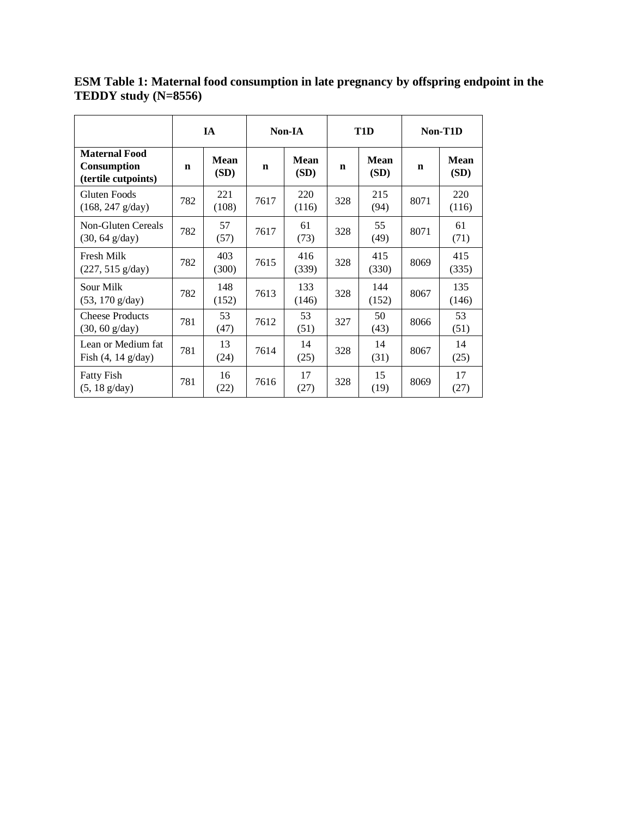|                                                            | IA          |                     |             | Non-IA       |     | T <sub>1</sub> D    | Non-T1D     |                     |
|------------------------------------------------------------|-------------|---------------------|-------------|--------------|-----|---------------------|-------------|---------------------|
| <b>Maternal Food</b><br>Consumption<br>(tertile cutpoints) | $\mathbf n$ | <b>Mean</b><br>(SD) | $\mathbf n$ | Mean<br>(SD) | n   | <b>Mean</b><br>(SD) | $\mathbf n$ | <b>Mean</b><br>(SD) |
| Gluten Foods<br>$(168, 247 \text{ g/day})$                 | 782         | 221<br>(108)        | 7617        | 220<br>(116) | 328 | 215<br>(94)         | 8071        | 220<br>(116)        |
| Non-Gluten Cereals<br>$(30, 64 \text{ g/day})$             | 782         | 57<br>(57)          | 7617        | 61<br>(73)   | 328 | 55<br>(49)          | 8071        | 61<br>(71)          |
| Fresh Milk<br>$(227, 515 \text{ g/day})$                   | 782         | 403<br>(300)        | 7615        | 416<br>(339) | 328 | 415<br>(330)        | 8069        | 415<br>(335)        |
| Sour Milk<br>$(53, 170 \text{ g/day})$                     | 782         | 148<br>(152)        | 7613        | 133<br>(146) | 328 | 144<br>(152)        | 8067        | 135<br>(146)        |
| <b>Cheese Products</b><br>$(30, 60 \text{ g/day})$         | 781         | 53<br>(47)          | 7612        | 53<br>(51)   | 327 | 50<br>(43)          | 8066        | 53<br>(51)          |
| Lean or Medium fat<br>Fish $(4, 14 \text{ g/day})$         | 781         | 13<br>(24)          | 7614        | 14<br>(25)   | 328 | 14<br>(31)          | 8067        | 14<br>(25)          |
| <b>Fatty Fish</b><br>$(5, 18 \text{ g/day})$               | 781         | 16<br>(22)          | 7616        | 17<br>(27)   | 328 | 15<br>(19)          | 8069        | 17<br>(27)          |

**ESM Table 1: Maternal food consumption in late pregnancy by offspring endpoint in the TEDDY study (N=8556)**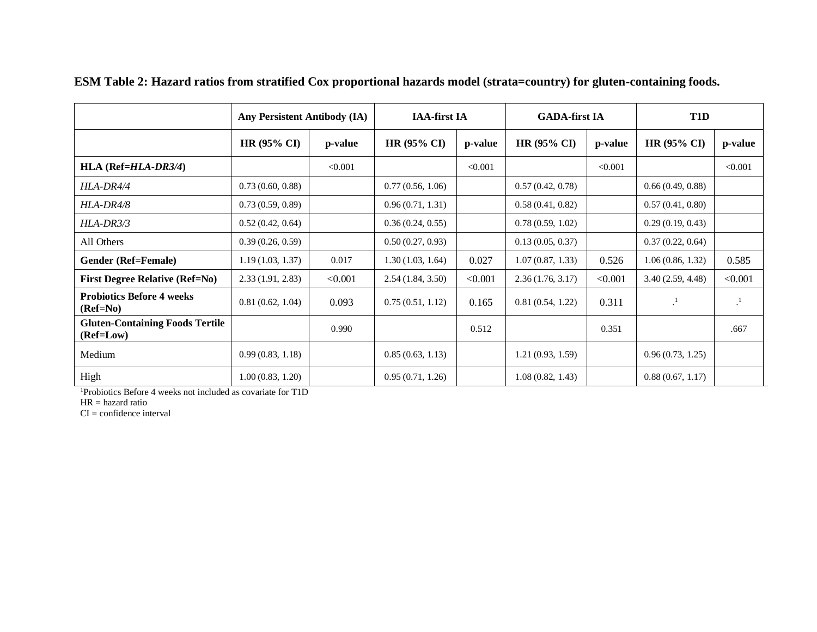|                                                     | Any Persistent Antibody (IA) |         | <b>IAA-first IA</b>    |         | <b>GADA-first IA</b> |         | T1D              |         |
|-----------------------------------------------------|------------------------------|---------|------------------------|---------|----------------------|---------|------------------|---------|
|                                                     | <b>HR (95% CI)</b>           | p-value | HR $(95\% \text{ CI})$ | p-value | HR (95% CI)          | p-value | HR (95% CI)      | p-value |
| $HLA (Ref=HLA-DR3/4)$                               |                              | < 0.001 |                        | < 0.001 |                      | < 0.001 |                  | < 0.001 |
| $HLA-DR4/4$                                         | 0.73(0.60, 0.88)             |         | 0.77(0.56, 1.06)       |         | 0.57(0.42, 0.78)     |         | 0.66(0.49, 0.88) |         |
| HLA-DR4/8                                           | 0.73(0.59, 0.89)             |         | 0.96(0.71, 1.31)       |         | 0.58(0.41, 0.82)     |         | 0.57(0.41, 0.80) |         |
| $HLA-DR3/3$                                         | 0.52(0.42, 0.64)             |         | 0.36(0.24, 0.55)       |         | 0.78(0.59, 1.02)     |         | 0.29(0.19, 0.43) |         |
| All Others                                          | 0.39(0.26, 0.59)             |         | 0.50(0.27, 0.93)       |         | 0.13(0.05, 0.37)     |         | 0.37(0.22, 0.64) |         |
| Gender (Ref=Female)                                 | 1.19(1.03, 1.37)             | 0.017   | 1.30(1.03, 1.64)       | 0.027   | 1.07(0.87, 1.33)     | 0.526   | 1.06(0.86, 1.32) | 0.585   |
| <b>First Degree Relative (Ref=No)</b>               | 2.33(1.91, 2.83)             | < 0.001 | 2.54(1.84, 3.50)       | < 0.001 | 2.36(1.76, 3.17)     | < 0.001 | 3.40(2.59, 4.48) | < 0.001 |
| <b>Probiotics Before 4 weeks</b><br>(Ref=No)        | 0.81(0.62, 1.04)             | 0.093   | 0.75(0.51, 1.12)       | 0.165   | 0.81(0.54, 1.22)     | 0.311   | $\cdot^1$        |         |
| <b>Gluten-Containing Foods Tertile</b><br>(Ref=Low) |                              | 0.990   |                        | 0.512   |                      | 0.351   |                  | .667    |
| Medium                                              | 0.99(0.83, 1.18)             |         | 0.85(0.63, 1.13)       |         | 1.21(0.93, 1.59)     |         | 0.96(0.73, 1.25) |         |
| High                                                | 1.00(0.83, 1.20)             |         | 0.95(0.71, 1.26)       |         | 1.08(0.82, 1.43)     |         | 0.88(0.67, 1.17) |         |

**ESM Table 2: Hazard ratios from stratified Cox proportional hazards model (strata=country) for gluten-containing foods.**

<sup>1</sup>Probiotics Before 4 weeks not included as covariate for T1D

HR = hazard ratio

 $CI = confidence interval$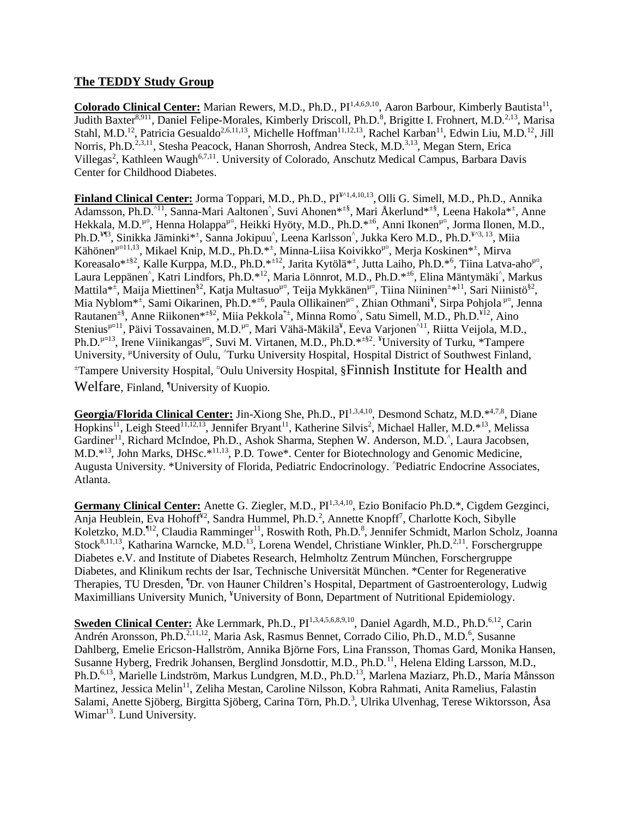# **The TEDDY Study Group**

Colorado Clinical Center: Marian Rewers, M.D., Ph.D., PI<sup>1,4,6,9,10</sup>, Aaron Barbour, Kimberly Bautista<sup>11</sup>, Judith Baxter<sup>8,911</sup>, Daniel Felipe-Morales, Kimberly Driscoll, Ph.D.<sup>8</sup>, Brigitte I. Frohnert, M.D.<sup>2,13</sup>, Marisa Stahl, M.D.<sup>12</sup>, Patricia Gesualdo<sup>2,6,11,13</sup>, Michelle Hoffman<sup>11,12,13</sup>, Rachel Karban<sup>11</sup>, Edwin Liu, M.D.<sup>12</sup>, Jill Norris, Ph.D.<sup>2,3,11</sup>, Stesha Peacock, Hanan Shorrosh, Andrea Steck, M.D.<sup>3,13</sup>, Megan Stern, Erica Villegas<sup>2</sup>, Kathleen Waugh<sup>6,7,11</sup>. University of Colorado, Anschutz Medical Campus, Barbara Davis Center for Childhood Diabetes.

**Finland Clinical Center:** Jorma Toppari, M.D., Ph.D., PI¥^1,4,10,13 , Olli G. Simell, M.D., Ph.D., Annika Adamsson, Ph.D.<sup>^11</sup>, Sanna-Mari Aaltonen<sup>^</sup>, Suvi Ahonen<sup>\*±§</sup>, Mari Åkerlund<sup>\*±§</sup>, Leena Hakola<sup>\*±</sup>, Anne Hekkala, M.D.<sup>µ¤</sup>, Henna Holappa<sup>µ¤</sup>, Heikki Hyöty, M.D., Ph.D.\*<sup>±6</sup>, Anni Ikonen<sup>µ¤</sup>, Jorma Ilonen, M.D., Ph.D.<sup>¥¶3</sup>, Sinikka Jäminki<sup>\*±</sup>, Sanna Jokipuu<sup>^</sup>, Leena Karlsson<sup>^</sup>, Jukka Kero M.D., Ph.D.<sup>¥^3, 13</sup>, Miia Kähönen<sup>µ¤11,13</sup>, Mikael Knip, M.D., Ph.D.<sup>\*\*</sup>, Minna-Liisa Koivikko<sup>µ¤</sup>, Merja Koskinen<sup>\*\*</sup>, Mirva Koreasalo\*<sup>±§2</sup>, Kalle Kurppa, M.D., Ph.D.\*<sup>±12</sup>, Jarita Kytölä\*<sup>±</sup>, Jutta Laiho, Ph.D.<sup>\*6</sup>, Tiina Latva-aho<sup>µ¤</sup>, Laura Leppänen<sup>^</sup>, Katri Lindfors, Ph.D.\*<sup>12</sup>, Maria Lönnrot, M.D., Ph.D.\*<sup>±6</sup>, Elina Mäntymäki<sup>^</sup>, Markus Mattila\*<sup>±</sup>, Maija Miettinen<sup>§2</sup>, Katja Multasuo<sup>µ¤</sup>, Teija Mykkänen<sup>µ¤</sup>, Tiina Niininen<sup>±</sup>\*<sup>11</sup>, Sari Niinistö<sup>§2</sup>, Mia Nyblom<sup>\*±</sup>, Sami Oikarinen, Ph.D.<sup>\*±6</sup>, Paula Ollikainen<sup>µ¤</sup>, Zhian Othmani<sup>¥</sup>, Sirpa Pohjola<sup>µ¤</sup>, Jenna Rautanen<sup>±§</sup>, Anne Riikonen<sup>\*±§2</sup>, Miia Pekkola<sup>\*±</sup>, Minna Romo^, Satu Simell, M.D., Ph.D.<sup>¥12</sup>, Aino Stenius<sup>µ¤11</sup>, Päivi Tossavainen, M.D.<sup>µ¤</sup>, Mari Vähä-Mäkilä<sup>¥</sup>, Eeva Varjonen<sup>^11</sup>, Riitta Veijola, M.D., Ph.D.<sup>µ¤13</sup>, Irene Viinikangas<sup>µ¤</sup>, Suvi M. Virtanen, M.D., Ph.D.\*<sup>±§2</sup>. <sup>¥</sup>University of Turku, \*Tampere University, <sup>µ</sup>University of Oulu, ^Turku University Hospital, Hospital District of Southwest Finland, <sup>±</sup>Tampere University Hospital, ¤Oulu University Hospital, §Finnish Institute for Health and Welfare, Finland, <sup>¶</sup>University of Kuopio.

Georgia/Florida Clinical Center: Jin-Xiong She, Ph.D., PI<sup>1,3,4,10</sup>, Desmond Schatz, M.D.<sup>\*4,7,8</sup>, Diane Hopkins<sup>11</sup>, Leigh Steed<sup>11,12,13</sup>, Jennifer Bryant<sup>11</sup>, Katherine Silvis<sup>2</sup>, Michael Haller, M.D.<sup>\*13</sup>, Melissa Gardiner<sup>11</sup>, Richard McIndoe, Ph.D., Ashok Sharma, Stephen W. Anderson, M.D.<sup>^</sup>, Laura Jacobsen, M.D.\*<sup>13</sup>, John Marks, DHSc.\*11,13, P.D. Towe\*. Center for Biotechnology and Genomic Medicine, Augusta University. \*University of Florida, Pediatric Endocrinology. ^Pediatric Endocrine Associates, Atlanta.

Germany Clinical Center: Anette G. Ziegler, M.D., PI<sup>1,3,4,10</sup>, Ezio Bonifacio Ph.D.\*, Cigdem Gezginci, Anja Heublein, Eva Hohoff<sup>¥2</sup>, Sandra Hummel, Ph.D.<sup>2</sup>, Annette Knopff<sup>7</sup>, Charlotte Koch, Sibylle Koletzko, M.D.<sup>¶12</sup>, Claudia Ramminger<sup>11</sup>, Roswith Roth, Ph.D.<sup>8</sup>, Jennifer Schmidt, Marlon Scholz, Joanna Stock<sup>8,11,13</sup>, Katharina Warncke, M.D.<sup>13</sup>, Lorena Wendel, Christiane Winkler, Ph.D.<sup>2,11</sup>. Forschergruppe Diabetes e.V. and Institute of Diabetes Research, Helmholtz Zentrum München, Forschergruppe Diabetes, and Klinikum rechts der Isar, Technische Universität München. \*Center for Regenerative Therapies, TU Dresden, <sup>1</sup>Dr. von Hauner Children's Hospital, Department of Gastroenterology, Ludwig Maximillians University Munich, <sup>¥</sup>University of Bonn, Department of Nutritional Epidemiology.

**Sweden Clinical Center:** Åke Lernmark, Ph.D., PI<sup>1,3,4,5,6,8,9,10</sup>, Daniel Agardh, M.D., Ph.D.<sup>6,12</sup>, Carin Andrén Aronsson, Ph.D.<sup>2,11,12</sup>, Maria Ask, Rasmus Bennet, Corrado Cilio, Ph.D., M.D.<sup>6</sup>, Susanne Dahlberg, Emelie Ericson-Hallström, Annika Björne Fors, Lina Fransson, Thomas Gard, Monika Hansen, Susanne Hyberg, Fredrik Johansen, Berglind Jonsdottir, M.D., Ph.D.<sup>11</sup>, Helena Elding Larsson, M.D., Ph.D.<sup>6,13</sup>, Marielle Lindström, Markus Lundgren, M.D., Ph.D.<sup>13</sup>, Marlena Maziarz, Ph.D., Maria Månsson Martinez, Jessica Melin<sup>11</sup>, Zeliha Mestan, Caroline Nilsson, Kobra Rahmati, Anita Ramelius, Falastin Salami, Anette Sjöberg, Birgitta Sjöberg, Carina Törn, Ph.D.<sup>3</sup>, Ulrika Ulvenhag, Terese Wiktorsson, Åsa Wimar<sup>13</sup>. Lund University.